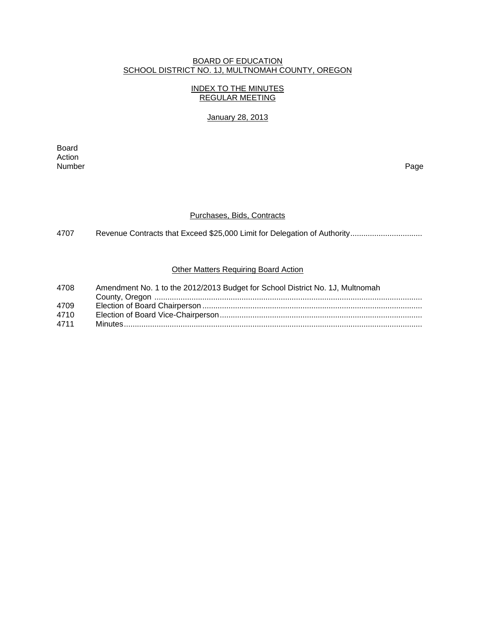### BOARD OF EDUCATION SCHOOL DISTRICT NO. 1J, MULTNOMAH COUNTY, OREGON

## INDEX TO THE MINUTES REGULAR MEETING

## January 28, 2013

extending the control of the control of the control of the control of the control of the control of the control of the control of the control of the control of the control of the control of the control of the control of th Action<br>Number Number Page

#### Purchases, Bids, Contracts

4707 Revenue Contracts that Exceed \$25,000 Limit for Delegation of Authority.................................

# Other Matters Requiring Board Action

| 4708 | Amendment No. 1 to the 2012/2013 Budget for School District No. 1J, Multnomah |
|------|-------------------------------------------------------------------------------|
|      |                                                                               |
| 4709 |                                                                               |
| 4710 |                                                                               |
| 4711 |                                                                               |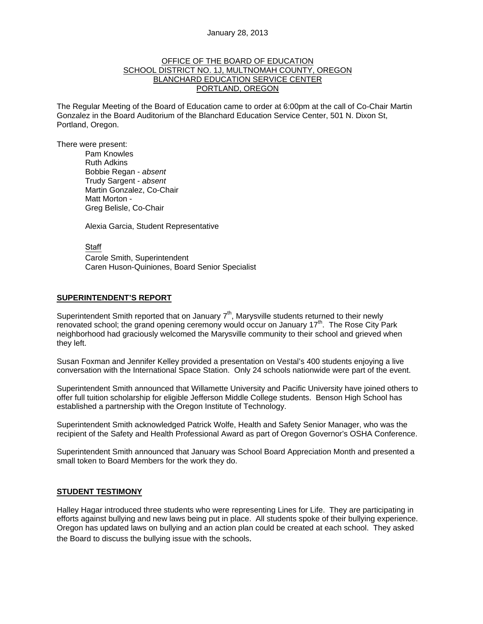#### OFFICE OF THE BOARD OF EDUCATION SCHOOL DISTRICT NO. 1J, MULTNOMAH COUNTY, OREGON BLANCHARD EDUCATION SERVICE CENTER PORTLAND, OREGON

The Regular Meeting of the Board of Education came to order at 6:00pm at the call of Co-Chair Martin Gonzalez in the Board Auditorium of the Blanchard Education Service Center, 501 N. Dixon St, Portland, Oregon.

There were present: Pam Knowles

Ruth Adkins Bobbie Regan - *absent* Trudy Sargent - *absent* Martin Gonzalez, Co-Chair Matt Morton - Greg Belisle, Co-Chair

Alexia Garcia, Student Representative

Staff

 Carole Smith, Superintendent Caren Huson-Quiniones, Board Senior Specialist

#### **SUPERINTENDENT'S REPORT**

Superintendent Smith reported that on January  $7<sup>th</sup>$ , Marysville students returned to their newly renovated school; the grand opening ceremony would occur on January 17<sup>th</sup>. The Rose City Park neighborhood had graciously welcomed the Marysville community to their school and grieved when they left.

Susan Foxman and Jennifer Kelley provided a presentation on Vestal's 400 students enjoying a live conversation with the International Space Station. Only 24 schools nationwide were part of the event.

Superintendent Smith announced that Willamette University and Pacific University have joined others to offer full tuition scholarship for eligible Jefferson Middle College students. Benson High School has established a partnership with the Oregon Institute of Technology.

Superintendent Smith acknowledged Patrick Wolfe, Health and Safety Senior Manager, who was the recipient of the Safety and Health Professional Award as part of Oregon Governor's OSHA Conference.

Superintendent Smith announced that January was School Board Appreciation Month and presented a small token to Board Members for the work they do.

#### **STUDENT TESTIMONY**

Halley Hagar introduced three students who were representing Lines for Life. They are participating in efforts against bullying and new laws being put in place. All students spoke of their bullying experience. Oregon has updated laws on bullying and an action plan could be created at each school. They asked the Board to discuss the bullying issue with the schools.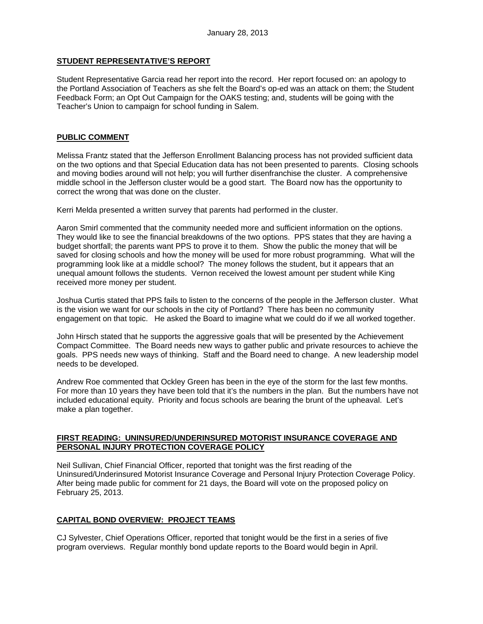# **STUDENT REPRESENTATIVE'S REPORT**

Student Representative Garcia read her report into the record. Her report focused on: an apology to the Portland Association of Teachers as she felt the Board's op-ed was an attack on them; the Student Feedback Form; an Opt Out Campaign for the OAKS testing; and, students will be going with the Teacher's Union to campaign for school funding in Salem.

## **PUBLIC COMMENT**

Melissa Frantz stated that the Jefferson Enrollment Balancing process has not provided sufficient data on the two options and that Special Education data has not been presented to parents. Closing schools and moving bodies around will not help; you will further disenfranchise the cluster. A comprehensive middle school in the Jefferson cluster would be a good start. The Board now has the opportunity to correct the wrong that was done on the cluster.

Kerri Melda presented a written survey that parents had performed in the cluster.

Aaron Smirl commented that the community needed more and sufficient information on the options. They would like to see the financial breakdowns of the two options. PPS states that they are having a budget shortfall; the parents want PPS to prove it to them. Show the public the money that will be saved for closing schools and how the money will be used for more robust programming. What will the programming look like at a middle school? The money follows the student, but it appears that an unequal amount follows the students. Vernon received the lowest amount per student while King received more money per student.

Joshua Curtis stated that PPS fails to listen to the concerns of the people in the Jefferson cluster. What is the vision we want for our schools in the city of Portland? There has been no community engagement on that topic. He asked the Board to imagine what we could do if we all worked together.

John Hirsch stated that he supports the aggressive goals that will be presented by the Achievement Compact Committee. The Board needs new ways to gather public and private resources to achieve the goals. PPS needs new ways of thinking. Staff and the Board need to change. A new leadership model needs to be developed.

Andrew Roe commented that Ockley Green has been in the eye of the storm for the last few months. For more than 10 years they have been told that it's the numbers in the plan. But the numbers have not included educational equity. Priority and focus schools are bearing the brunt of the upheaval. Let's make a plan together.

## **FIRST READING: UNINSURED/UNDERINSURED MOTORIST INSURANCE COVERAGE AND PERSONAL INJURY PROTECTION COVERAGE POLICY**

Neil Sullivan, Chief Financial Officer, reported that tonight was the first reading of the Uninsured/Underinsured Motorist Insurance Coverage and Personal Injury Protection Coverage Policy. After being made public for comment for 21 days, the Board will vote on the proposed policy on February 25, 2013.

# **CAPITAL BOND OVERVIEW: PROJECT TEAMS**

CJ Sylvester, Chief Operations Officer, reported that tonight would be the first in a series of five program overviews. Regular monthly bond update reports to the Board would begin in April.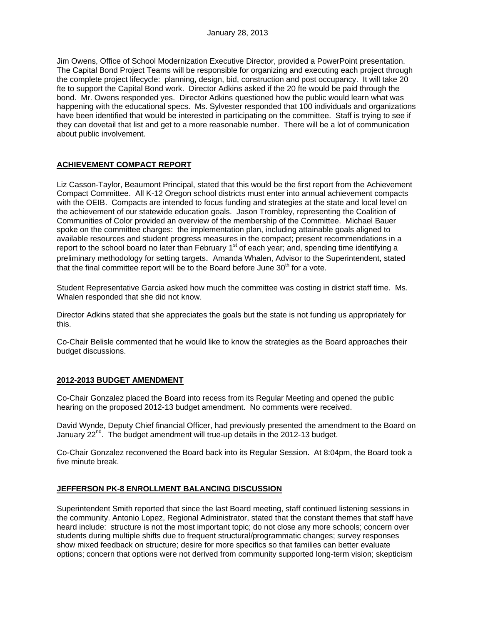Jim Owens, Office of School Modernization Executive Director, provided a PowerPoint presentation. The Capital Bond Project Teams will be responsible for organizing and executing each project through the complete project lifecycle: planning, design, bid, construction and post occupancy. It will take 20 fte to support the Capital Bond work. Director Adkins asked if the 20 fte would be paid through the bond. Mr. Owens responded yes. Director Adkins questioned how the public would learn what was happening with the educational specs. Ms. Sylvester responded that 100 individuals and organizations have been identified that would be interested in participating on the committee. Staff is trying to see if they can dovetail that list and get to a more reasonable number. There will be a lot of communication about public involvement.

## **ACHIEVEMENT COMPACT REPORT**

Liz Casson-Taylor, Beaumont Principal, stated that this would be the first report from the Achievement Compact Committee. All K-12 Oregon school districts must enter into annual achievement compacts with the OEIB. Compacts are intended to focus funding and strategies at the state and local level on the achievement of our statewide education goals. Jason Trombley, representing the Coalition of Communities of Color provided an overview of the membership of the Committee. Michael Bauer spoke on the committee charges: the implementation plan, including attainable goals aligned to available resources and student progress measures in the compact; present recommendations in a report to the school board no later than February  $1<sup>st</sup>$  of each year; and, spending time identifying a preliminary methodology for setting targets. Amanda Whalen, Advisor to the Superintendent, stated that the final committee report will be to the Board before June  $30<sup>th</sup>$  for a vote.

Student Representative Garcia asked how much the committee was costing in district staff time. Ms. Whalen responded that she did not know.

Director Adkins stated that she appreciates the goals but the state is not funding us appropriately for this.

Co-Chair Belisle commented that he would like to know the strategies as the Board approaches their budget discussions.

## **2012-2013 BUDGET AMENDMENT**

Co-Chair Gonzalez placed the Board into recess from its Regular Meeting and opened the public hearing on the proposed 2012-13 budget amendment. No comments were received.

David Wynde, Deputy Chief financial Officer, had previously presented the amendment to the Board on January  $22<sup>nd</sup>$ . The budget amendment will true-up details in the 2012-13 budget.

Co-Chair Gonzalez reconvened the Board back into its Regular Session. At 8:04pm, the Board took a five minute break.

#### **JEFFERSON PK-8 ENROLLMENT BALANCING DISCUSSION**

Superintendent Smith reported that since the last Board meeting, staff continued listening sessions in the community. Antonio Lopez, Regional Administrator, stated that the constant themes that staff have heard include: structure is not the most important topic; do not close any more schools; concern over students during multiple shifts due to frequent structural/programmatic changes; survey responses show mixed feedback on structure; desire for more specifics so that families can better evaluate options; concern that options were not derived from community supported long-term vision; skepticism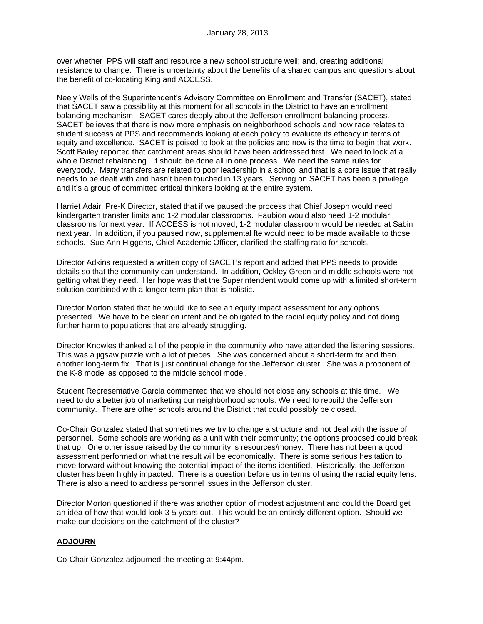over whether PPS will staff and resource a new school structure well; and, creating additional resistance to change. There is uncertainty about the benefits of a shared campus and questions about the benefit of co-locating King and ACCESS.

Neely Wells of the Superintendent's Advisory Committee on Enrollment and Transfer (SACET), stated that SACET saw a possibility at this moment for all schools in the District to have an enrollment balancing mechanism. SACET cares deeply about the Jefferson enrollment balancing process. SACET believes that there is now more emphasis on neighborhood schools and how race relates to student success at PPS and recommends looking at each policy to evaluate its efficacy in terms of equity and excellence. SACET is poised to look at the policies and now is the time to begin that work. Scott Bailey reported that catchment areas should have been addressed first. We need to look at a whole District rebalancing. It should be done all in one process. We need the same rules for everybody. Many transfers are related to poor leadership in a school and that is a core issue that really needs to be dealt with and hasn't been touched in 13 years. Serving on SACET has been a privilege and it's a group of committed critical thinkers looking at the entire system.

Harriet Adair, Pre-K Director, stated that if we paused the process that Chief Joseph would need kindergarten transfer limits and 1-2 modular classrooms. Faubion would also need 1-2 modular classrooms for next year. If ACCESS is not moved, 1-2 modular classroom would be needed at Sabin next year. In addition, if you paused now, supplemental fte would need to be made available to those schools. Sue Ann Higgens, Chief Academic Officer, clarified the staffing ratio for schools.

Director Adkins requested a written copy of SACET's report and added that PPS needs to provide details so that the community can understand. In addition, Ockley Green and middle schools were not getting what they need. Her hope was that the Superintendent would come up with a limited short-term solution combined with a longer-term plan that is holistic.

Director Morton stated that he would like to see an equity impact assessment for any options presented. We have to be clear on intent and be obligated to the racial equity policy and not doing further harm to populations that are already struggling.

Director Knowles thanked all of the people in the community who have attended the listening sessions. This was a jigsaw puzzle with a lot of pieces. She was concerned about a short-term fix and then another long-term fix. That is just continual change for the Jefferson cluster. She was a proponent of the K-8 model as opposed to the middle school model.

Student Representative Garcia commented that we should not close any schools at this time. We need to do a better job of marketing our neighborhood schools. We need to rebuild the Jefferson community. There are other schools around the District that could possibly be closed.

Co-Chair Gonzalez stated that sometimes we try to change a structure and not deal with the issue of personnel. Some schools are working as a unit with their community; the options proposed could break that up. One other issue raised by the community is resources/money. There has not been a good assessment performed on what the result will be economically. There is some serious hesitation to move forward without knowing the potential impact of the items identified. Historically, the Jefferson cluster has been highly impacted. There is a question before us in terms of using the racial equity lens. There is also a need to address personnel issues in the Jefferson cluster.

Director Morton questioned if there was another option of modest adjustment and could the Board get an idea of how that would look 3-5 years out. This would be an entirely different option. Should we make our decisions on the catchment of the cluster?

## **ADJOURN**

Co-Chair Gonzalez adjourned the meeting at 9:44pm.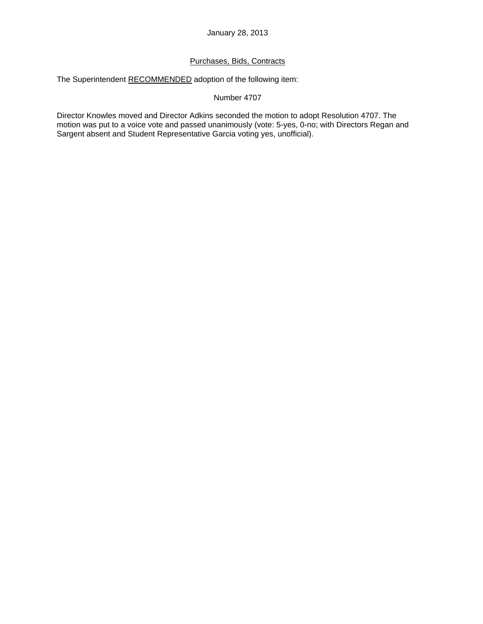# Purchases, Bids, Contracts

The Superintendent RECOMMENDED adoption of the following item:

# Number 4707

Director Knowles moved and Director Adkins seconded the motion to adopt Resolution 4707. The motion was put to a voice vote and passed unanimously (vote: 5-yes, 0-no; with Directors Regan and Sargent absent and Student Representative Garcia voting yes, unofficial).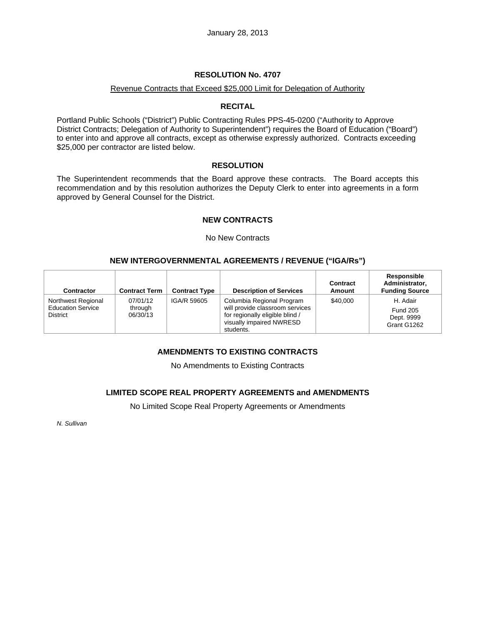## **RESOLUTION No. 4707**

### Revenue Contracts that Exceed \$25,000 Limit for Delegation of Authority

## **RECITAL**

Portland Public Schools ("District") Public Contracting Rules PPS-45-0200 ("Authority to Approve District Contracts; Delegation of Authority to Superintendent") requires the Board of Education ("Board") to enter into and approve all contracts, except as otherwise expressly authorized. Contracts exceeding \$25,000 per contractor are listed below.

### **RESOLUTION**

The Superintendent recommends that the Board approve these contracts. The Board accepts this recommendation and by this resolution authorizes the Deputy Clerk to enter into agreements in a form approved by General Counsel for the District.

## **NEW CONTRACTS**

#### No New Contracts

# **NEW INTERGOVERNMENTAL AGREEMENTS / REVENUE ("IGA/Rs")**

| <b>Contractor</b>                                                 | <b>Contract Term</b>            | <b>Contract Type</b> | <b>Description of Services</b>                                                                                                           | Contract<br>Amount | Responsible<br>Administrator,<br><b>Funding Source</b>   |
|-------------------------------------------------------------------|---------------------------------|----------------------|------------------------------------------------------------------------------------------------------------------------------------------|--------------------|----------------------------------------------------------|
| Northwest Regional<br><b>Education Service</b><br><b>District</b> | 07/01/12<br>through<br>06/30/13 | IGA/R 59605          | Columbia Regional Program<br>will provide classroom services<br>for regionally eligible blind /<br>visually impaired NWRESD<br>students. | \$40,000           | H. Adair<br><b>Fund 205</b><br>Dept. 9999<br>Grant G1262 |

# **AMENDMENTS TO EXISTING CONTRACTS**

No Amendments to Existing Contracts

## **LIMITED SCOPE REAL PROPERTY AGREEMENTS and AMENDMENTS**

No Limited Scope Real Property Agreements or Amendments

*N. Sullivan*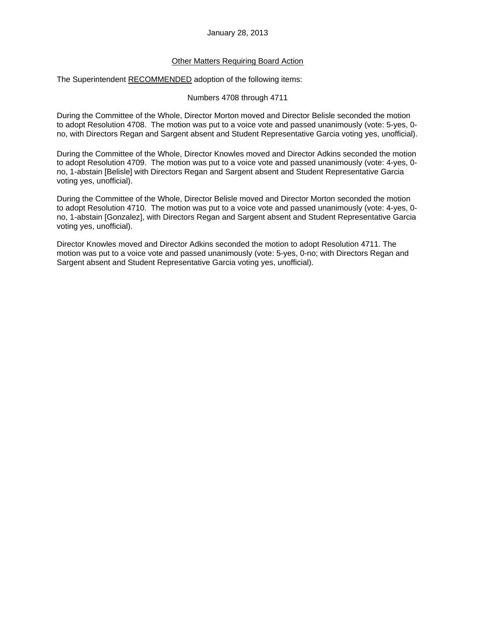#### January 28, 2013

## Other Matters Requiring Board Action

The Superintendent RECOMMENDED adoption of the following items:

Numbers 4708 through 4711

During the Committee of the Whole, Director Morton moved and Director Belisle seconded the motion to adopt Resolution 4708. The motion was put to a voice vote and passed unanimously (vote: 5-yes, 0 no, with Directors Regan and Sargent absent and Student Representative Garcia voting yes, unofficial).

During the Committee of the Whole, Director Knowles moved and Director Adkins seconded the motion to adopt Resolution 4709. The motion was put to a voice vote and passed unanimously (vote: 4-yes, 0 no, 1-abstain [Belisle] with Directors Regan and Sargent absent and Student Representative Garcia voting yes, unofficial).

During the Committee of the Whole, Director Belisle moved and Director Morton seconded the motion to adopt Resolution 4710. The motion was put to a voice vote and passed unanimously (vote: 4-yes, 0 no, 1-abstain [Gonzalez], with Directors Regan and Sargent absent and Student Representative Garcia voting yes, unofficial).

Director Knowles moved and Director Adkins seconded the motion to adopt Resolution 4711. The motion was put to a voice vote and passed unanimously (vote: 5-yes, 0-no; with Directors Regan and Sargent absent and Student Representative Garcia voting yes, unofficial).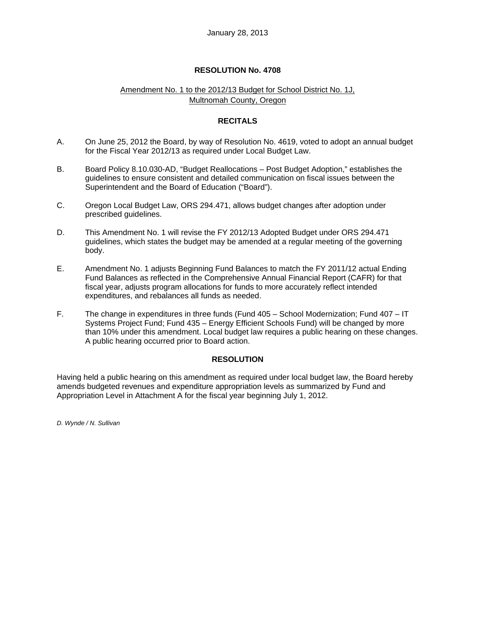### **RESOLUTION No. 4708**

## Amendment No. 1 to the 2012/13 Budget for School District No. 1J, Multnomah County, Oregon

## **RECITALS**

- A. On June 25, 2012 the Board, by way of Resolution No. 4619, voted to adopt an annual budget for the Fiscal Year 2012/13 as required under Local Budget Law.
- B. Board Policy 8.10.030-AD, "Budget Reallocations Post Budget Adoption," establishes the guidelines to ensure consistent and detailed communication on fiscal issues between the Superintendent and the Board of Education ("Board").
- C. Oregon Local Budget Law, ORS 294.471, allows budget changes after adoption under prescribed guidelines.
- D. This Amendment No. 1 will revise the FY 2012/13 Adopted Budget under ORS 294.471 guidelines, which states the budget may be amended at a regular meeting of the governing body.
- E. Amendment No. 1 adjusts Beginning Fund Balances to match the FY 2011/12 actual Ending Fund Balances as reflected in the Comprehensive Annual Financial Report (CAFR) for that fiscal year, adjusts program allocations for funds to more accurately reflect intended expenditures, and rebalances all funds as needed.
- F. The change in expenditures in three funds (Fund 405 School Modernization; Fund 407 IT Systems Project Fund; Fund 435 – Energy Efficient Schools Fund) will be changed by more than 10% under this amendment. Local budget law requires a public hearing on these changes. A public hearing occurred prior to Board action.

#### **RESOLUTION**

Having held a public hearing on this amendment as required under local budget law, the Board hereby amends budgeted revenues and expenditure appropriation levels as summarized by Fund and Appropriation Level in Attachment A for the fiscal year beginning July 1, 2012.

*D. Wynde / N. Sullivan*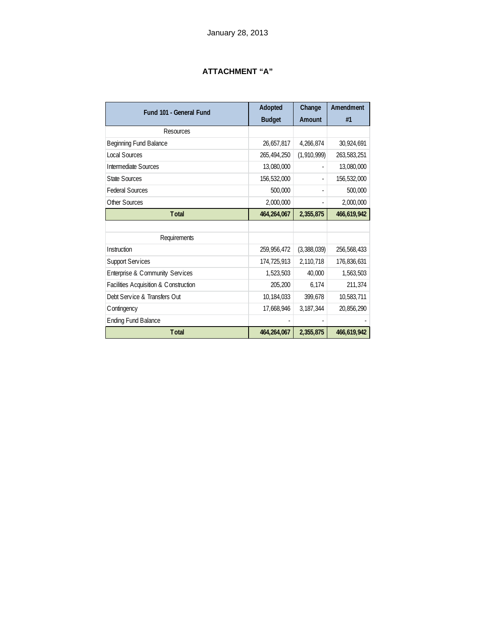# **ATTACHMENT "A"**

| Fund 101 - General Fund               | Adopted<br><b>Budget</b> | Change<br>Amount         | Amendment<br>#1 |
|---------------------------------------|--------------------------|--------------------------|-----------------|
| Resources                             |                          |                          |                 |
| Beginning Fund Balance                | 26,657,817               | 4,266,874                | 30,924,691      |
| <b>Local Sources</b>                  | 265,494,250              | (1,910,999)              | 263,583,251     |
| Intermediate Sources                  | 13,080,000               |                          | 13,080,000      |
| <b>State Sources</b>                  | 156,532,000              | ÷,                       | 156,532,000     |
| <b>Federal Sources</b>                | 500,000                  | $\overline{\phantom{0}}$ | 500,000         |
| <b>Other Sources</b>                  | 2,000,000                | ۰                        | 2,000,000       |
| <b>Total</b>                          | 464,264,067              | 2,355,875                | 466,619,942     |
|                                       |                          |                          |                 |
| Requirements                          |                          |                          |                 |
| Instruction                           | 259,956,472              | (3,388,039)              | 256,568,433     |
| <b>Support Services</b>               | 174,725,913              | 2,110,718                | 176,836,631     |
| Enterprise & Community Services       | 1,523,503                | 40,000                   | 1,563,503       |
| Facilities Acquisition & Construction | 205,200                  | 6,174                    | 211,374         |
| Debt Service & Transfers Out          | 10,184,033               | 399,678                  | 10,583,711      |
| C ontingency                          | 17,668,946               | 3, 187, 344              | 20,856,290      |
| <b>Ending Fund Balance</b>            |                          |                          |                 |
| <b>T</b> otal                         | 464,264,067              | 2,355,875                | 466,619,942     |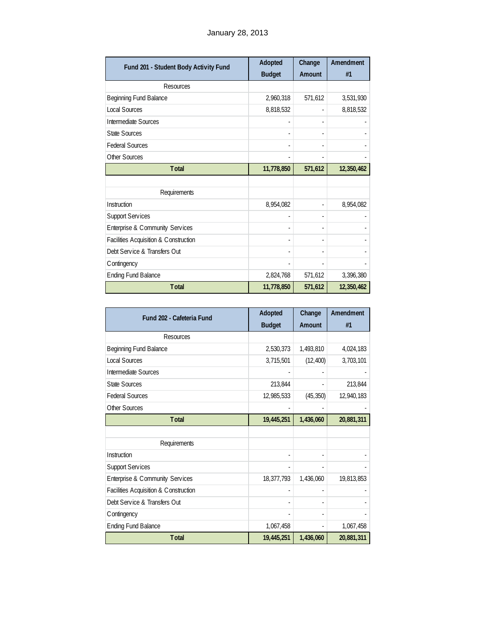| Fund 201 - Student Body Activity Fund | Adopted                  | Change  | Amendment  |
|---------------------------------------|--------------------------|---------|------------|
|                                       | <b>Budget</b>            | Amount  | #1         |
| Resources                             |                          |         |            |
| Beginning Fund Balance                | 2,960,318                | 571,612 | 3,531,930  |
| Local Sources                         | 8,818,532                |         | 8,818,532  |
| Intermediate Sources                  |                          |         |            |
| <b>State Sources</b>                  | ٠                        | ä,      |            |
| <b>Federal Sources</b>                | ٠                        |         |            |
| Other Sources                         |                          |         |            |
| <b>Total</b>                          | 11,778,850               | 571,612 | 12,350,462 |
|                                       |                          |         |            |
| Requirements                          |                          |         |            |
| Instruction                           | 8,954,082                |         | 8,954,082  |
| <b>Support Services</b>               | ٠                        |         |            |
| Enterprise & Community Services       | ٠                        |         |            |
| Facilities Acquisition & Construction | $\overline{\phantom{0}}$ |         |            |
| Debt Service & Transfers Out          |                          |         |            |
| Contingency                           |                          |         |            |
| <b>Ending Fund Balance</b>            | 2,824,768                | 571,612 | 3,396,380  |
| <b>Total</b>                          | 11,778,850               | 571,612 | 12,350,462 |

| Fund 202 - Cafeteria Fund             | Adopted       | Change    | Amendment  |
|---------------------------------------|---------------|-----------|------------|
|                                       | <b>Budget</b> | Amount    | #1         |
| Resources                             |               |           |            |
| Beginning Fund Balance                | 2,530,373     | 1,493,810 | 4,024,183  |
| Local Sources                         | 3,715,501     | (12, 400) | 3,703,101  |
| Intermediate Sources                  |               |           |            |
| <b>State Sources</b>                  | 213,844       |           | 213,844    |
| <b>Federal Sources</b>                | 12,985,533    | (45, 350) | 12,940,183 |
| Other Sources                         |               |           |            |
| <b>Total</b>                          | 19,445,251    | 1,436,060 | 20,881,311 |
|                                       |               |           |            |
| Requirements                          |               |           |            |
| Instruction                           |               |           |            |
| <b>Support Services</b>               |               |           |            |
| Enterprise & Community Services       | 18,377,793    | 1,436,060 | 19,813,853 |
| Facilities Acquisition & Construction |               |           |            |
| Debt Service & Transfers Out          | ٠             |           |            |
| C ontingency                          |               |           |            |
| <b>Ending Fund Balance</b>            | 1,067,458     | L,        | 1,067,458  |
| <b>Total</b>                          | 19,445,251    | 1,436,060 | 20,881,311 |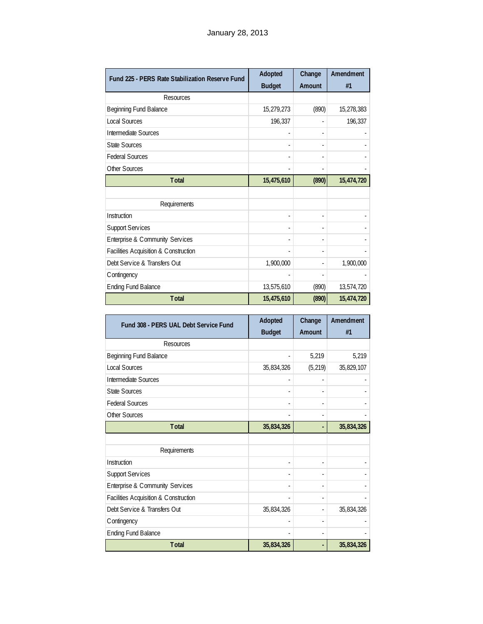| Fund 225 - PERS Rate Stabilization Reserve Fund | Adopted       | Change | Amendment  |
|-------------------------------------------------|---------------|--------|------------|
|                                                 | <b>Budget</b> | Amount | #1         |
| <b>Resources</b>                                |               |        |            |
| Beginning Fund Balance                          | 15,279,273    | (890)  | 15,278,383 |
| <b>Local Sources</b>                            | 196,337       |        | 196,337    |
| Intermediate Sources                            |               | ä,     |            |
| <b>State Sources</b>                            | ٠             | ٠      |            |
| <b>Federal Sources</b>                          | ۰             |        |            |
| Other Sources                                   |               |        |            |
| <b>Total</b>                                    | 15,475,610    | (890)  | 15,474,720 |
|                                                 |               |        |            |
| Requirements                                    |               |        |            |
| Instruction                                     | ä,            | ä,     |            |
| <b>Support Services</b>                         | ٠             |        |            |
| Enterprise & Community Services                 |               |        |            |
| Facilities Acquisition & Construction           |               |        |            |
| Debt Service & Transfers Out                    | 1,900,000     |        | 1,900,000  |
| Contingency                                     |               |        |            |
| <b>Ending Fund Balance</b>                      | 13,575,610    | (890)  | 13,574,720 |
| <b>Total</b>                                    | 15,475,610    | (890)  | 15,474,720 |

| Fund 308 - PERS UAL Debt Service Fund | Adopted<br><b>Budget</b> | Change<br>Amount | Amendment<br>#1 |
|---------------------------------------|--------------------------|------------------|-----------------|
| Resources                             |                          |                  |                 |
| Beginning Fund Balance                |                          | 5,219            | 5,219           |
| <b>Local Sources</b>                  | 35,834,326               | (5, 219)         | 35,829,107      |
| Intermediate Sources                  |                          |                  |                 |
| <b>State Sources</b>                  |                          |                  |                 |
| <b>Federal Sources</b>                |                          | ۰                |                 |
| Other Sources                         |                          |                  |                 |
| <b>Total</b>                          | 35,834,326               |                  | 35,834,326      |
|                                       |                          |                  |                 |
| Requirements                          |                          |                  |                 |
| Instruction                           |                          | ٠                |                 |
| <b>Support Services</b>               |                          |                  |                 |
| Enterprise & Community Services       |                          |                  |                 |
| Facilities Acquisition & Construction |                          | ٠                |                 |
| Debt Service & Transfers Out          | 35,834,326               | ۰                | 35,834,326      |
| Contingency                           |                          |                  |                 |
| <b>Ending Fund Balance</b>            |                          | ۰                |                 |
| <b>T</b> otal                         | 35,834,326               |                  | 35,834,326      |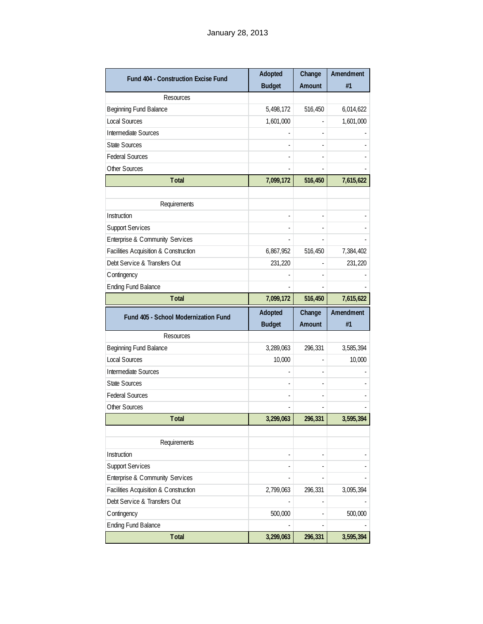| Fund 404 - Construction Excise Fund   | Adopted       | Change  | Amendment |
|---------------------------------------|---------------|---------|-----------|
|                                       | <b>Budget</b> | Amount  | #1        |
| Resources                             |               |         |           |
| Beginning Fund Balance                | 5,498,172     | 516,450 | 6,014,622 |
| Local Sources                         | 1,601,000     |         | 1,601,000 |
| Intermediate Sources                  |               |         |           |
| <b>State Sources</b>                  |               |         |           |
| <b>Federal Sources</b>                |               |         |           |
| Other Sources                         |               |         |           |
| <b>Total</b>                          | 7,099,172     | 516,450 | 7,615,622 |
|                                       |               |         |           |
| Requirements                          |               |         |           |
| Instruction                           |               |         |           |
| <b>Support Services</b>               |               |         |           |
| Enterprise & Community Services       |               |         |           |
| Facilities Acquisition & Construction | 6,867,952     | 516,450 | 7,384,402 |
| Debt Service & Transfers Out          | 231,220       |         | 231,220   |
| Contingency                           |               |         |           |
| <b>Ending Fund Balance</b>            |               |         |           |
| <b>Total</b>                          | 7,099,172     | 516,450 | 7,615,622 |
|                                       |               |         |           |
|                                       | Adopted       | Change  | Amendment |
| Fund 405 - School Modernization Fund  | <b>Budget</b> | Amount  | #1        |
| Resources                             |               |         |           |
| Beginning Fund Balance                | 3,289,063     | 296,331 | 3,585,394 |
| Local Sources                         | 10,000        |         | 10,000    |
| Intermediate Sources                  |               |         |           |
| <b>State Sources</b>                  |               |         |           |
| <b>Federal Sources</b>                |               |         |           |
| Other Sources                         |               |         |           |
| Total                                 | 3,299,063     | 296,331 | 3,595,394 |
|                                       |               |         |           |
| Requirements                          |               |         |           |
| Instruction                           |               |         |           |
| <b>Support Services</b>               |               |         |           |
| Enterprise & Community Services       |               |         |           |
| Facilities Acquisition & Construction | 2,799,063     | 296,331 | 3,095,394 |
| Debt Service & Transfers Out          |               |         |           |
| Contingency                           | 500,000       |         | 500,000   |
| <b>Ending Fund Balance</b>            |               |         |           |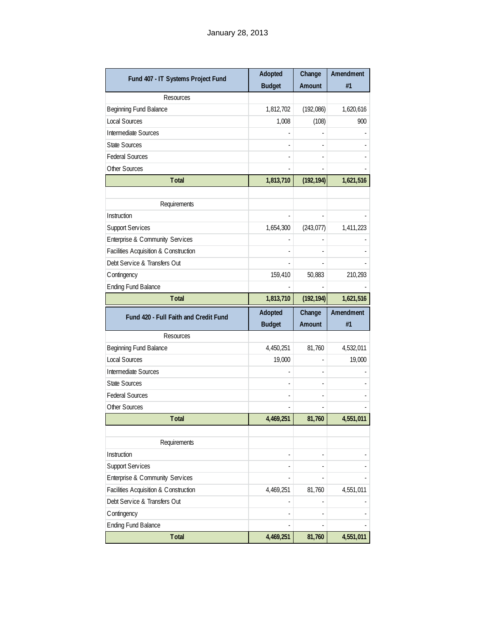| Fund 407 - IT Systems Project Fund    | Adopted       | Change     | Amendment |
|---------------------------------------|---------------|------------|-----------|
|                                       | <b>Budget</b> | Amount     | #1        |
| Resources                             |               |            |           |
| <b>Beginning Fund Balance</b>         | 1,812,702     | (192,086)  | 1,620,616 |
| <b>Local Sources</b>                  | 1,008         | (108)      | 900       |
| Intermediate Sources                  |               |            |           |
| <b>State Sources</b>                  |               |            |           |
| <b>Federal Sources</b>                |               |            |           |
| Other Sources                         |               |            |           |
| <b>Total</b>                          | 1,813,710     | (192, 194) | 1,621,516 |
|                                       |               |            |           |
| Requirements                          |               |            |           |
| Instruction                           |               |            |           |
| <b>Support Services</b>               | 1,654,300     | (243, 077) | 1,411,223 |
| Enterprise & Community Services       |               |            |           |
| Facilities Acquisition & Construction |               |            |           |
| Debt Service & Transfers Out          |               |            |           |
| Contingency                           | 159,410       | 50,883     | 210,293   |
| <b>Ending Fund Balance</b>            |               |            |           |
| <b>Total</b>                          | 1,813,710     | (192, 194) | 1,621,516 |
|                                       |               |            |           |
| Fund 420 - Full Faith and Credit Fund | Adopted       | Change     | Amendment |
|                                       | <b>Budget</b> | Amount     | #1        |
| Resources                             |               |            |           |
| Beginning Fund Balance                | 4,450,251     | 81,760     | 4,532,011 |
| <b>Local Sources</b>                  | 19,000        |            | 19,000    |
| Intermediate Sources                  |               |            |           |
| <b>State Sources</b>                  |               |            |           |
| <b>Federal Sources</b>                |               |            |           |
| Other Sources                         |               |            |           |
| Total                                 | 4,469,251     | 81,760     | 4,551,011 |
|                                       |               |            |           |
| Requirements                          |               |            |           |
| Instruction                           |               | L,         |           |
| Support Services                      |               |            |           |
| Enterprise & Community Services       |               |            |           |
| Facilities Acquisition & Construction | 4,469,251     | 81,760     | 4,551,011 |
| Debt Service & Transfers Out          |               |            |           |
| Contingency                           |               |            |           |
| <b>Ending Fund Balance</b><br>Total   | 4,469,251     | 81,760     | 4,551,011 |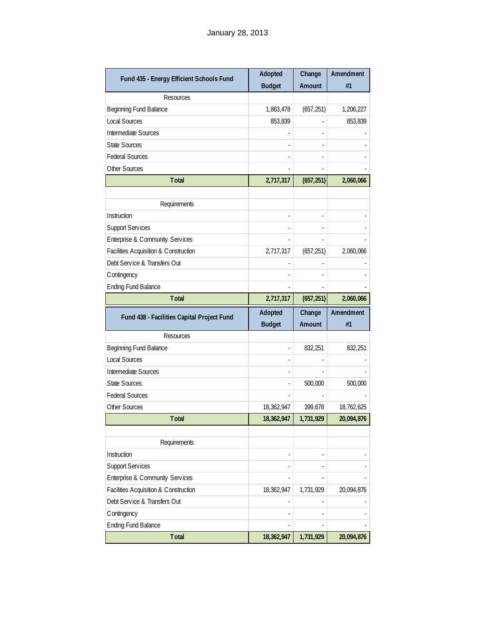| Fund 435 - Energy Efficient Schools Fund   | Adopted       | Change     | Amendment  |
|--------------------------------------------|---------------|------------|------------|
|                                            | <b>Budget</b> | Amount     | #1         |
| Resources                                  |               |            |            |
| Beginning Fund Balance                     | 1,863,478     | (657, 251) | 1,206,227  |
| <b>Local Sources</b>                       | 853,839       |            | 853,839    |
| Intermediate Sources                       |               |            |            |
| <b>State Sources</b>                       |               |            |            |
| <b>Federal Sources</b>                     |               |            |            |
| Other Sources                              |               |            |            |
| <b>Total</b>                               | 2,717,317     | (657, 251) | 2,060,066  |
|                                            |               |            |            |
| Requirements                               |               |            |            |
| Instruction                                |               |            |            |
| <b>Support Services</b>                    |               |            |            |
| Enterprise & Community Services            |               |            |            |
| Facilities Acquisition & Construction      | 2,717,317     | (657, 251) | 2,060,066  |
| Debt Service & Transfers Out               |               |            |            |
| Contingency                                |               |            |            |
| <b>Ending Fund Balance</b>                 |               |            |            |
| <b>Total</b>                               | 2,717,317     | (657, 251) | 2,060,066  |
|                                            |               |            |            |
|                                            | Adopted       | Change     | Amendment  |
| Fund 438 - Facilities Capital Project Fund | <b>Budget</b> | Amount     | #1         |
| Resources                                  |               |            |            |
| Beginning Fund Balance                     |               | 832,251    | 832,251    |
| Local Sources                              |               |            |            |
| Intermediate Sources                       |               |            |            |
| <b>State Sources</b>                       |               | 500,000    | 500,000    |
| <b>Federal Sources</b>                     |               |            |            |
| Other Sources                              | 18,362,947    | 399,678    | 18,762,625 |
| Total                                      | 18, 362, 947  | 1,731,929  | 20,094,876 |
|                                            |               |            |            |
| Requirements                               |               |            |            |
| Instruction                                |               |            |            |
| <b>Support Services</b>                    |               |            |            |
| Enterprise & Community Services            |               |            |            |
| Facilities Acquisition & Construction      | 18,362,947    | 1,731,929  | 20,094,876 |
| Debt Service & Transfers Out               |               |            |            |
| Contingency                                |               |            |            |
| <b>Ending Fund Balance</b>                 |               | 1,731,929  |            |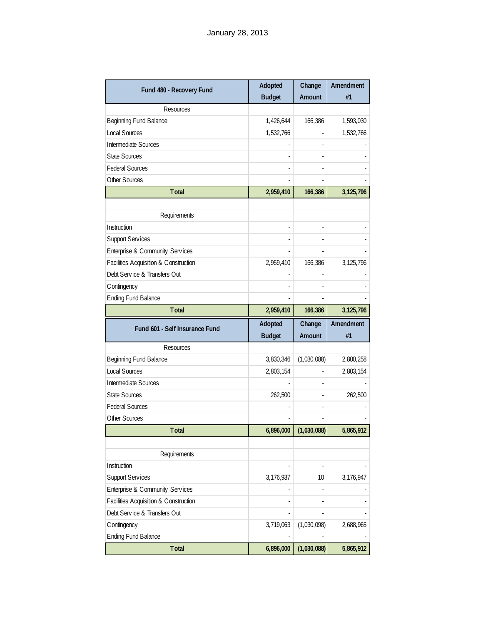| Fund 480 - Recovery Fund                                                                                            | Adopted<br><b>Budget</b> | Change<br>Amount | Amendment<br>#1 |
|---------------------------------------------------------------------------------------------------------------------|--------------------------|------------------|-----------------|
| <b>Resources</b>                                                                                                    |                          |                  |                 |
| <b>Beginning Fund Balance</b>                                                                                       | 1,426,644                | 166,386          | 1,593,030       |
| <b>Local Sources</b>                                                                                                | 1,532,766                |                  | 1,532,766       |
| Intermediate Sources                                                                                                |                          |                  |                 |
| <b>State Sources</b>                                                                                                |                          |                  |                 |
| <b>Federal Sources</b>                                                                                              |                          |                  |                 |
| Other Sources                                                                                                       |                          |                  |                 |
| Total                                                                                                               | 2,959,410                | 166,386          | 3, 125, 796     |
|                                                                                                                     |                          |                  |                 |
| Requirements                                                                                                        |                          |                  |                 |
| Instruction                                                                                                         |                          |                  |                 |
| Support Services                                                                                                    |                          |                  |                 |
| Enterprise & Community Services                                                                                     |                          |                  |                 |
| Facilities Acquisition & Construction                                                                               | 2,959,410                | 166,386          | 3, 125, 796     |
| Debt Service & Transfers Out                                                                                        |                          |                  |                 |
| C ontingency                                                                                                        |                          |                  |                 |
| <b>Ending Fund Balance</b>                                                                                          |                          |                  |                 |
| <b>Total</b>                                                                                                        | 2,959,410                | 166,386          | 3, 125, 796     |
| Fund 601 - Self Insurance Fund                                                                                      | Adopted                  | Change           | Amendment       |
|                                                                                                                     | <b>Budget</b>            | Amount           | #1              |
| <b>Resources</b>                                                                                                    |                          |                  |                 |
| Beginning Fund Balance                                                                                              | 3,830,346                | (1,030,088)      | 2,800,258       |
| <b>Local Sources</b>                                                                                                | 2,803,154                |                  | 2,803,154       |
| Intermediate Sources                                                                                                |                          |                  |                 |
| <b>State Sources</b>                                                                                                | 262,500                  |                  | 262,500         |
| <b>Federal Sources</b>                                                                                              |                          |                  |                 |
| Other Sources                                                                                                       |                          |                  |                 |
| <b>Total</b>                                                                                                        | 6,896,000                | (1,030,088)      | 5,865,912       |
|                                                                                                                     |                          |                  |                 |
| Requirements                                                                                                        |                          |                  |                 |
| Instruction                                                                                                         |                          |                  |                 |
| Support Services                                                                                                    | 3,176,937                | 10               | 3,176,947       |
|                                                                                                                     |                          |                  |                 |
| Enterprise & Community Services                                                                                     |                          |                  |                 |
|                                                                                                                     |                          |                  |                 |
|                                                                                                                     |                          |                  |                 |
|                                                                                                                     | 3,719,063                | (1,030,098)      | 2,688,965       |
| Facilities Acquisition & Construction<br>Debt Service & Transfers Out<br>C ontingency<br><b>Ending Fund Balance</b> |                          |                  |                 |